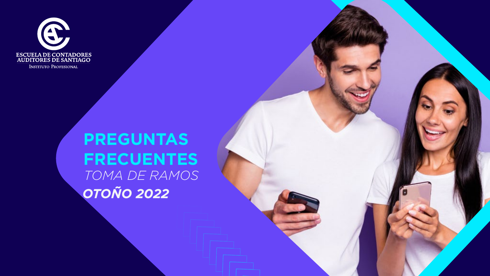

INSTITUTO PROFESIONAL

# **PREGUNTAS FRECUENTES** *TOMA DE RAMOS OTOÑO 2022*

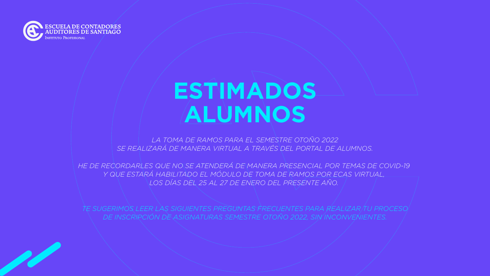

# **ESTIMADOS ALUMNOS**

*LA TOMA DE RAMOS PARA EL SEMESTRE OTOÑO 2022 SE REALIZARÁ DE MANERA VIRTUAL A TRAVÉS DEL PORTAL DE ALUMNOS.*

*HE DE RECORDARLES QUE NO SE ATENDERÁ DE MANERA PRESENCIAL POR TEMAS DE COVID-19 Y QUE ESTARÁ HABILITADO EL MÓDULO DE TOMA DE RAMOS POR ECAS VIRTUAL, LOS DÍAS DEL 25 AL 27 DE ENERO DEL PRESENTE AÑO.* 

*TE SUGERIMOS LEER LAS SIGUIENTES PREGUNTAS FRECUENTES PARA REALIZAR TU PROCESO DE INSCRIPCIÓN DE ASIGNATURAS SEMESTRE OTOÑO 2022, SIN INCONVENIENTES.*

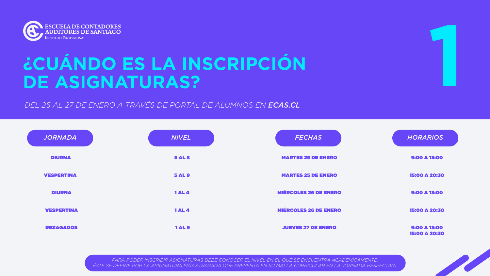

# **¿CUÁNDO ES LA INSCRIPCIÓN**  CONDITIORES DE SANTIAGO<br> **1990 - ASIGNATURAS?**<br>
DE ASIGNATURAS?<br>

CUÁNDO ES LA INSCRIPCIÓN<br>
DE ASIGNATURAS?

*DEL 25 AL 27 DE ENERO A TRAVÉS DE PORTAL DE ALUMNOS EN ECAS.CL*

 *PARA PODER INSCRIBIR ASIGNATURAS DEBE CONOCER EL NIVEL EN EL QUE SE ENCUENTRA ACADÉMICAMENTE, ÉSTE SE DEFINE POR LA ASIGNATURA MÁS ATRASADA QUE PRESENTA EN SU MALLA CURRICULAR EN LA JORNADA RESPECTIVA.*

| JORNADA           | <b>NIVEL</b>  | FECHAS                       | HORARIOS                             |
|-------------------|---------------|------------------------------|--------------------------------------|
| <b>DIURNA</b>     | <b>5 AL 8</b> | <b>MARTES 25 DE ENERO</b>    | 9:00 A 13:00                         |
| <b>VESPERTINA</b> | <b>5 AL 9</b> | <b>MARTES 25 DE ENERO</b>    | 15:00 A 20:30                        |
| <b>DIURNA</b>     | <b>1AL4</b>   | <b>MIÉRCOLES 26 DE ENERO</b> | <b>9:00 A 13:00</b>                  |
| <b>VESPERTINA</b> | <b>1AL4</b>   | <b>MIÉRCOLES 26 DE ENERO</b> | 15:00 A 20:30                        |
| <b>REZAGADOS</b>  | <b>1AL9</b>   | <b>JUEVES 27 DE ENERO</b>    | <b>9:00 A 13:00</b><br>15:00 A 20:30 |

| <b>FECHAS</b>                | <b>HORARIOS</b>                             |
|------------------------------|---------------------------------------------|
| <b>MARTES 25 DE ENERO</b>    | 9:00 A 13:00                                |
| <b>MARTES 25 DE ENERO</b>    | <b>15:00 A 20:30</b>                        |
| <b>MIÉRCOLES 26 DE ENERO</b> | 9:00 A 13:00                                |
| <b>MIÉRCOLES 26 DE ENERO</b> | 15:00 A 20:30                               |
| <b>JUEVES 27 DE ENERO</b>    | <b>9:00 A 13:00</b><br><b>15:00 A 20:30</b> |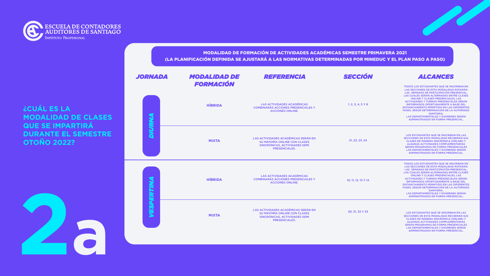



### **¿CUÁL ES LA MODALIDAD DE CLASES QUE SE IMPARTIRÁ DURANTE EL SEMESTRE OTOÑO 2022?**

| DE | REFERENCIA                                                                                                                   | <b>SECCIÓN</b>               | <b>ALCANGES</b>                                                                                                                                                                                                                                                                                                                                                                                                                                                                                                          |
|----|------------------------------------------------------------------------------------------------------------------------------|------------------------------|--------------------------------------------------------------------------------------------------------------------------------------------------------------------------------------------------------------------------------------------------------------------------------------------------------------------------------------------------------------------------------------------------------------------------------------------------------------------------------------------------------------------------|
|    | <b>LAS ACTIVIDADES ACADÉMICAS</b><br><b>COMBINARÁS ACCIONES PRESENCIALES Y</b><br><b>ACCIONES ONLINE.</b>                    | $1, 2, 3, 4, 5 \text{ Y } 8$ | <b>TODOS LOS ESTUDIANTES QUE SE INSCRIBAN</b><br>LAS SECCIONES DE ESTA MODALIDAD ROTAR<br>LAS SEMANAS DE PARTICIPACIÓN PRESENCI<br>LAS CUALES SERÁN ALTERNADAS ENTRE CLA<br><b>ONLINE Y CLASES PRESENCIALES, LAS</b><br><b>ACTIVIDADES Y TURNOS PRESENCIALES SER</b><br><b>INFORMADOS OPORTUNAMENTE A BASE DE</b><br><b>DISTANCIAMIENTO PERMITIDO EN LAS DIFEREI</b><br>FASES, SEGÚN DETERMINACIÓN DE LA AUTORI<br><b>SANITARIA.</b><br>LAS DEPARTAMENTALES Y EXÁMENES SERÁ<br><b>ADMINISTRADOS EN FORMA PRESENCIAL.</b> |
|    | LAS ACTIVIDADES ACADÉMICAS SERÁN EN<br>SU MAYORÍA ONLINE CON CLASES<br>SINCRÓNICAS, ACTIVIDADES SEMI<br><b>PRESENCIALES.</b> | 21, 22, 23, 24               | LOS ESTUDIANTES QUE SE INSCRIBAN EN LA<br>SECCIONES DE ESTA MODALIDAD RECIBIRÁN<br><b>CLASES DE MANERA SINCRÓNICA (ONLINE)</b><br>ALGUNAS ACTIVIDADES COMPLEMENTARIA<br>SERÁN PROGRAMAS DE FORMA PRESENCIAL<br>LAS DEPARTAMENTALES Y EXÁMENES SERÁ<br><b>ADMINISTRADOS EN FORMA PRESENCIAL.</b>                                                                                                                                                                                                                          |
|    | <b>LAS ACTIVIDADES ACADÉMICAS</b><br><b>COMBINARÁS ACCIONES PRESENCIALES Y</b><br><b>ACCIONES ONLINE.</b>                    | 10, 11, 12, 13 Y 14          | <b>TODOS LOS ESTUDIANTES QUE SE INSCRIBAN</b><br>LAS SECCIONES DE ESTA MODALIDAD ROTAR<br>LAS SEMANAS DE PARTICIPACIÓN PRESENCI<br>LAS CUALES SERÁN ALTERNADAS ENTRE CLA<br><b>ONLINE Y CLASES PRESENCIALES, LAS</b><br><b>ACTIVIDADES Y TURNOS PRESENCIALES SER</b><br><b>INFORMADOS OPORTUNAMENTE A BASE DE</b><br>DISTANCIAMIENTO PERMITIDO EN LAS DIFEREI<br>FASES, SEGÚN DETERMINACIÓN DE LA AUTORI<br><b>SANITARIA.</b><br>LAS DEPARTAMENTALES Y EXÁMENES SERÁ<br>ADMINISTRADOS EN FORMA PRESENCIAL.               |
|    | LAS ACTIVIDADES ACADÉMICAS SERÁN EN<br>SU MAYORÍA ONLINE CON CLASES<br>SINCRÓNICAS, ACTIVIDADES SEMI<br><b>PRESENCIALES.</b> | 30, 31, 32 Y 33              | LOS ESTUDIANTES QUE SE INSCRIBAN EN LA<br>SECCIONES DE ESTA MODALIDAD RECIBIRÁN<br><b>CLASES DE MANERA SINCRÓNICA (ONLINE)</b><br>ALGUNAS ACTIVIDADES COMPLEMENTARIA<br>SERÁN PROGRAMAS DE FORMA PRESENCIAL<br>LAS DEPARTAMENTALES Y EXÁMENES SERÁ<br>ADMINISTRADOS EN FORMA PRESENCIAL.                                                                                                                                                                                                                                 |

### **IBAN EN** DTARÁN **ENCIAL,**  $E$  CLASES SERÁN SE DEL **ERENTES TORIDAD**

**SERÁN**  $LAL.$ 

EN LAS RÁN SUS INE) Y **ARIAS CIALES** SERÁN  $IAL.$ 

**IBAN EN** DTARÁN **ENCIAL,** ECLASES SERÁN **INFORMATION ERENTES TORIDAD** 

SERÁN  $HAL.$ 

EN LAS **EAN SUS** INE) Y **ARIAS CIALES** SERÁN



### MODALIDAD DE FORMACIÓN DE ACTIVIDADES ACADÉMICAS SEMESTRE PRIMAVERA 2021 (LA PLANIFICACIÓN DEFINIDA SE AJUSTARÁ A LAS NORMATIVAS DETERMINADAS POR MINEDUC Y EL PLAN PASO A PASO)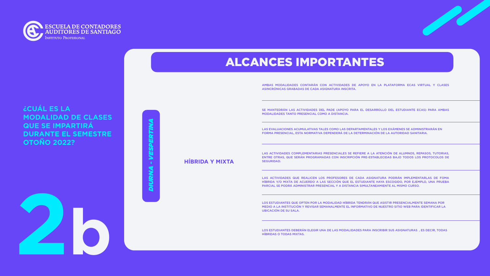

### **¿CUÁL ES LA MODALIDAD DE CLASES QUE SE IMPARTIRÁ DURANTE EL SEMESTRE OTOÑO 2022?**

**2b**

**HÍBRIDA Y MIXTA**

AMBAS MODALIDADES CONTARÁN CON ACTIVIDADES DE APOYO EN LA PLATAFORMA ECAS VIRTUAL Y CLASES ASINCRÓNICAS GRABADAS DE CADA ASIGNATURA INSCRITA.

SE MANTEDRÁN LAS ACTIVIDADES DEL PADE (APOYO PARA EL DESARROLLO DEL ESTUDIANTE ECAS) PARA AMBAS MODALIDADES TANTO PRESENCIAL COMO A DISTANCIA.

LAS EVALUACIONES ACUMULATIVAS TALES COMO LAS DEPARTAMENTALES Y LOS EXÁMENES SE ADMINISTRARÁN EN FORMA PRESENCIAL, ESTA NORMATIVA DEPENDERÁ DE LA DETERMINACIÓN DE LA AUTORIDAD SANITARIA.

LAS ACTIVIDADES COMPLEMENTARIAS PRESENCIALES SE REFIERE A LA ATENCIÓN DE ALUMNOS, REPASOS, TUTORIAS, ENTRE OTRAS, QUE SERÁN PROGRAMADAS CON INSCRIPCIÓN PRE-ESTABLECIDAS BAJO TODOS LOS PROTOCOLOS DE SEGURIDAD.

*DIURNA - VESPERTINA* <u>Ura</u>

LAS ACTIVIDADES QUE REALICEN LOS PROFESORES DE CADA ASIGNATURA PODRÁN IMPLEMENTARLAS DE FOMA HÍBRIDA Y/O MIXTA DE ACUERDO A LAS SECCIÓN QUE EL ESTUDIANTE HAYA ESCOGIDO, POR EJEMPLO, UNA PRUEBA PARCIAL SE PODRÁ ADMINISTRAR PRESENCIAL Y A DISTANCIA SIMULTANEAMIENTE AL MISMO CURSO.

LOS ESTUDIANTES QUE OPTEN POR LA MODALIDAD HÍBRIDA TENDRÁN QUE ASISTIR PRESENCIALMENTE SEMANA POR MEDIO A LA INSTITUCIÓN Y REVISAR SEMANALMENTE EL INFORMATIVO DE NUESTRO SITIO WEB PARA IDENTIFICAR LA UBICACIÓN DE SU SALA.

LOS ESTUDIANTES DEBERÁN ELEGIR UNA DE LAS MODALIDADES PARA INSCRIBIR SUS ASIGNATURAS , ES DECIR, TODAS HÍBRIDAS O TODAS MIXTAS.



### ALCANCES IMPORTANTES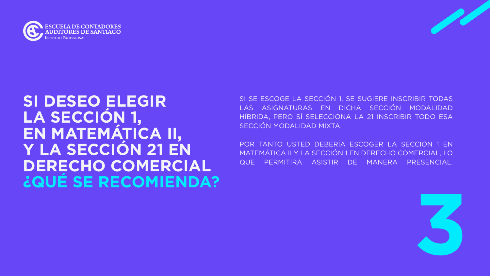



# **SI DESEO ELEGIR LA SECCIÓN 1, EN MATEMÁTICA II, Y LA SECCIÓN 21 EN DERECHO COMERCIAL ¿QUÉ SE RECOMIENDA?**

POR TANTO USTED DEBERÍA ESCOGER LA SECCIÓN 1 EN MATEMÁTICA II Y LA SECCIÓN 1 EN DERECHO COMERCIAL, LO QUE PERMITIRÁ ASISTIR DE MANERA PRESENCIAL.

SI SE ESCOGE LA SECCIÓN 1, SE SUGIERE INSCRIBIR TODAS LAS ASIGNATURAS EN DICHA SECCIÓN MODALIDAD HÍBRIDA, PERO SÍ SELECCIONA LA 21 INSCRIBIR TODO ESA SECCIÓN MODALIDAD MIXTA.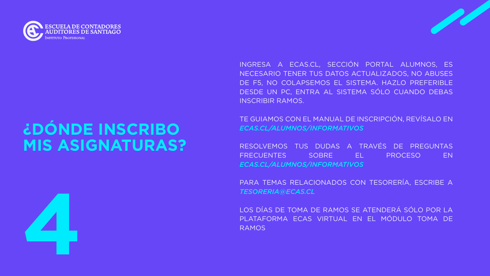



# **¿DÓNDE INSCRIBO MIS ASIGNATURAS?**

### INGRESA A ECAS.CL, SECCIÓN PORTAL ALUMNOS, ES NECESARIO TENER TUS DATOS ACTUALIZADOS, NO ABUSES DE F5, NO COLAPSEMOS EL SISTEMA. HAZLO PREFERIBLE

DESDE UN PC, ENTRA AL SISTEMA SÓLO CUANDO DEBAS INSCRIBIR RAMOS.

TE GUIAMOS CON EL MANUAL DE INSCRIPCIÓN, REVÍSALO EN *ECAS.CL/ALUMNOS/INFORMATIVOS*

RESOLVEMOS TUS DUDAS A TRAVÉS DE PREGUNTAS FRECUENTES SOBRE EL PROCESO EN *ECAS.CL/ALUMNOS/INFORMATIVOS*

PARA TEMAS RELACIONADOS CON TESORERÍA, ESCRIBE A *TESORERIA@ECAS.CL*

LOS DÍAS DE TOMA DE RAMOS SE ATENDERÁ SÓLO POR LA PLATAFORMA ECAS VIRTUAL EN EL MÓDULO TOMA DE RAMOS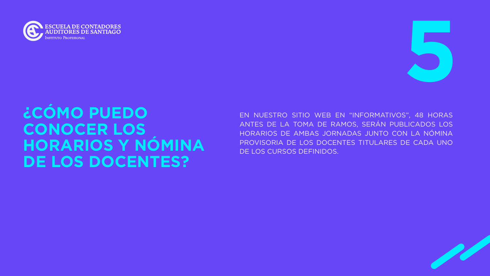



# **¿CÓMO PUEDO CONOCER LOS HORARIOS Y NÓMINA DE LOS DOCENTES?**

EN NUESTRO SITIO WEB EN "INFORMATIVOS", 48 HORAS ANTES DE LA TOMA DE RAMOS, SERÁN PUBLICADOS LOS HORARIOS DE AMBAS JORNADAS JUNTO CON LA NÓMINA PROVISORIA DE LOS DOCENTES TITULARES DE CADA UNO DE LOS CURSOS DEFINIDOS.

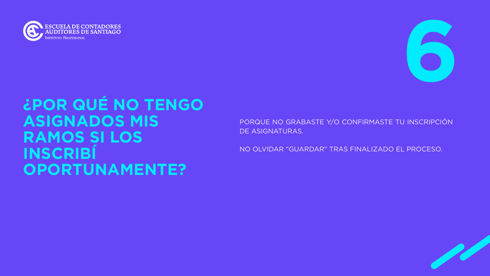



# **¿POR QUÉ NO TENGO ASIGNADOS MIS RAMOS SI LOS INSCRIBÍ OPORTUNAMENTE?**

PORQUE NO GRABASTE Y/O CONFIRMASTE TU INSCRIPCIÓN DE ASIGNATURAS.

NO OLVIDAR "GUARDAR" TRAS FINALIZADO EL PROCESO.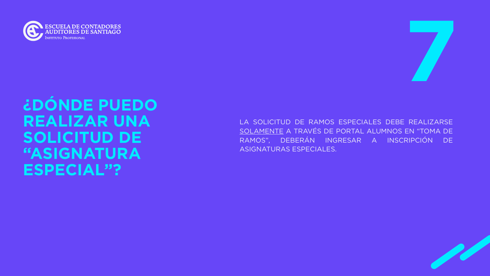



# **¿DÓNDE PUEDO REALIZAR UNA SOLICITUD DE "ASIGNATURA ESPECIAL"?**

LA SOLICITUD DE RAMOS ESPECIALES DEBE REALIZARSE SOLAMENTE A TRAVÉS DE PORTAL ALUMNOS EN "TOMA DE RAMOS", DEBERÁN INGRESAR A INSCRIPCIÓN DE ASIGNATURAS ESPECIALES.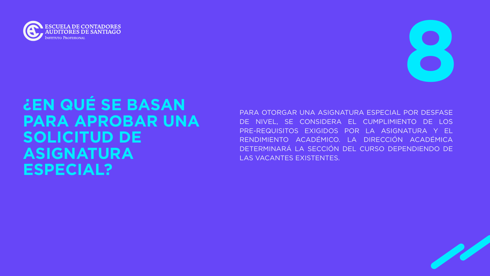

# **¿EN QUÉ SE BASAN PARA APROBAR UNA SOLICITUD DE ASIGNATURA ESPECIAL?**

**8** 

PARA OTORGAR UNA ASIGNATURA ESPECIAL POR DESFASE DE NIVEL, SE CONSIDERA EL CUMPLIMIENTO DE LOS PRE-REQUISITOS EXIGIDOS POR LA ASIGNATURA Y EL RENDIMIENTO ACADÉMICO. LA DIRECCIÓN ACADÉMICA DETERMINARÁ LA SECCIÓN DEL CURSO DEPENDIENDO DE LAS VACANTES EXISTENTES.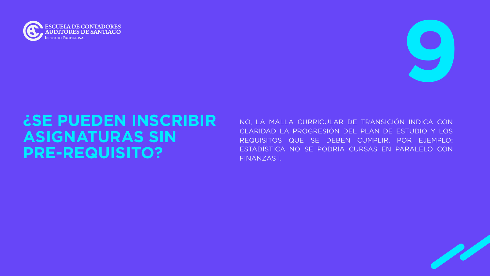



# **¿SE PUEDEN INSCRIBIR ASIGNATURAS SIN PRE-REQUISITO?**

NO, LA MALLA CURRICULAR DE TRANSICIÓN INDICA CON CLARIDAD LA PROGRESIÓN DEL PLAN DE ESTUDIO Y LOS REQUISITOS QUE SE DEBEN CUMPLIR. POR EJEMPLO: ESTADÍSTICA NO SE PODRÍA CURSAS EN PARALELO CON FINANZAS I.

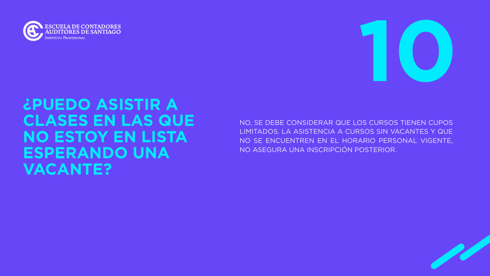



# **¿PUEDO ASISTIR A CLASES EN LAS QUE NO ESTOY EN LISTA ESPERANDO UNA VACANTE?**

NO, SE DEBE CONSIDERAR QUE LOS CURSOS TIENEN CUPOS LIMITADOS. LA ASISTENCIA A CURSOS SIN VACANTES Y QUE NO SE ENCUENTREN EN EL HORARIO PERSONAL VIGENTE, NO ASEGURA UNA INSCRIPCIÓN POSTERIOR.

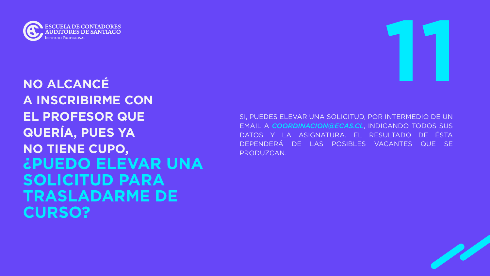



# **A INSCRIBIRME CON EL PROFESOR QUE QUERÍA, PUES YA NO TIENE CUPO, ¿PUEDO ELEVAR UNA SOLICITUD PARA TRASLADARME DE CURSO?**

SI, PUEDES ELEVAR UNA SOLICITUD, POR INTERMEDIO DE UN EMAIL A *COORDINACION@ECAS.CL*, INDICANDO TODOS SUS DATOS Y LA ASIGNATURA. EL RESULTADO DE ÉSTA DEPENDERÁ DE LAS POSIBLES VACANTES QUE SE PRODUZCAN.

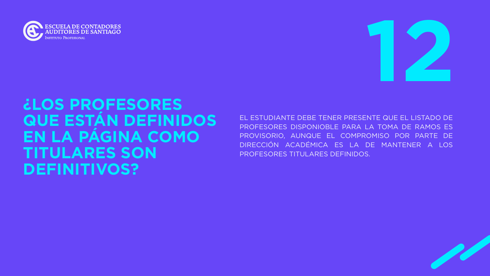



# **¿LOS PROFESORES QUE ESTÁN DEFINIDOS EN LA PÁGINA COMO TITULARES SON DEFINITIVOS?**

EL ESTUDIANTE DEBE TENER PRESENTE QUE EL LISTADO DE PROFESORES DISPONIOBLE PARA LA TOMA DE RAMOS ES PROVISORIO, AUNQUE EL COMPROMISO POR PARTE DE DIRECCIÓN ACADÉMICA ES LA DE MANTENER A LOS PROFESORES TITULARES DEFINIDOS.

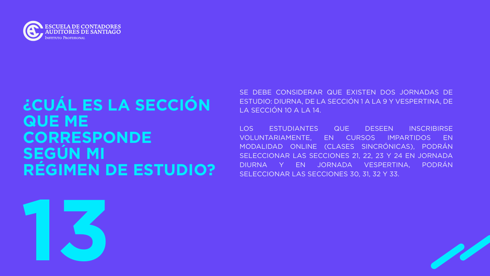



# **¿CUÁL ES LA SECCIÓN QUE ME CORRESPONDE SEGÚN MI RÉGIMEN DE ESTUDIO?**

SE DEBE CONSIDERAR QUE EXISTEN DOS JORNADAS DE ESTUDIO: DIURNA, DE LA SECCIÓN 1 A LA 9 Y VESPERTINA, DE LA SECCIÓN 10 A LA 14.

LOS ESTUDIANTES QUE DESEEN INSCRIBIRSE VOLUNTARIAMENTE, EN CURSOS IMPARTIDOS EN MODALIDAD ONLINE (CLASES SINCRÓNICAS), PODRÁN SELECCIONAR LAS SECCIONES 21, 22, 23 Y 24 EN JORNADA DIURNA Y EN JORNADA VESPERTINA, PODRÁN SELECCIONAR LAS SECCIONES 30, 31, 32 Y 33.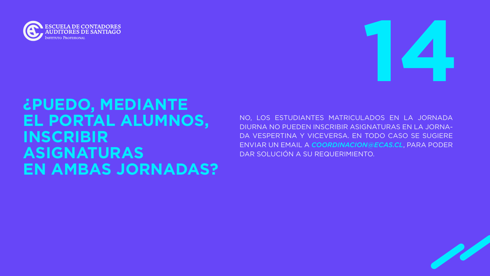



# **¿PUEDO, MEDIANTE EL PORTAL ALUMNOS, INSCRIBIR ASIGNATURAS EN AMBAS JORNADAS?**

NO, LOS ESTUDIANTES MATRICULADOS EN LA JORNADA DIURNA NO PUEDEN INSCRIBIR ASIGNATURAS EN LA JORNA-DA VESPERTINA Y VICEVERSA. EN TODO CASO SE SUGIERE ENVIAR UN EMAIL A *COORDINACION@ECAS.CL*, PARA PODER DAR SOLUCIÓN A SU REQUERIMIENTO.

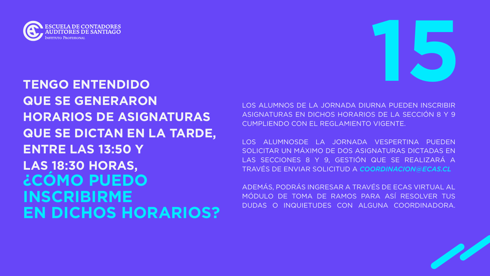



### **TENGO ENTENDIDO QUE SE GENERARON HORARIOS DE ASIGNATURAS QUE SE DICTAN EN LA TARDE, ENTRE LAS 13:50 Y LAS 18:30 HORAS, ¿CÓMO PUEDO INSCRIBIRME EN DICHOS HORARIOS?**

LOS ALUMNOS DE LA JORNADA DIURNA PUEDEN INSCRIBIR ASIGNATURAS EN DICHOS HORARIOS DE LA SECCIÓN 8 Y 9 CUMPLIENDO CON EL REGLAMIENTO VIGENTE.

LOS ALUMNOSDE LA JORNADA VESPERTINA PUEDEN SOLICITAR UN MÁXIMO DE DOS ASIGNATURAS DICTADAS EN LAS SECCIONES 8 Y 9, GESTIÓN QUE SE REALIZARÁ A TRAVÉS DE ENVIAR SOLICITUD A *COORDINACION@ECAS.CL*

ADEMÁS, PODRÁS INGRESAR A TRAVÉS DE ECAS VIRTUAL AL MÓDULO DE TOMA DE RAMOS PARA ASÍ RESOLVER TUS DUDAS O INQUIETUDES CON ALGUNA COORDINADORA.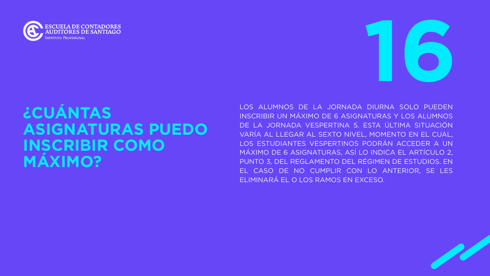



# **¿CUÁNTAS ASIGNATURAS PUEDO INSCRIBIR COMO MÁXIMO?**

LOS ALUMNOS DE LA JORNADA DIURNA SOLO PUEDEN INSCRIBIR UN MÁXIMO DE 6 ASIGNATURAS Y LOS ALUMNOS DE LA JORNADA VESPERTINA 5. ESTA ÚLTIMA SITUACIÓN VARÍA AL LLEGAR AL SEXTO NIVEL, MOMENTO EN EL CUAL, LOS ESTUDIANTES VESPERTINOS PODRÁN ACCEDER A UN MÁXIMO DE 6 ASIGNATURAS, ASÍ LO INDICA EL ARTÍCULO 2, PUNTO 3, DEL REGLAMENTO DEL RÉGIMEN DE ESTUDIOS. EN EL CASO DE NO CUMPLIR CON LO ANTERIOR, SE LES ELIMINARÁ EL O LOS RAMOS EN EXCESO.

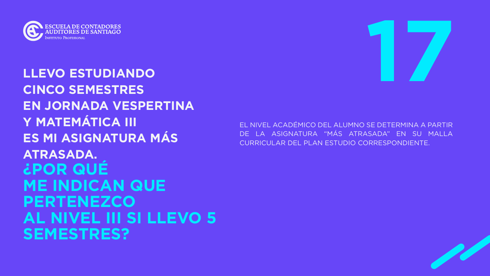



### **LLEVO ESTUDIANDO CINCO SEMESTRES EN JORNADA VESPERTINA Y MATEMÁTICA III ES MI ASIGNATURA MÁS ATRASADA. ¿POR QUÉ ME INDICAN QUE PERTENEZCO AL NIVEL III SI LLEVO 5 SEMESTRES?**

### EL NIVEL ACADÉMICO DEL ALUMNO SE DETERMINA A PARTIR ASIGNATURA "MÁS ATRASADA" EN SU MALLA CURRICULAR DEL PLAN ESTUDIO CORRESPONDIENTE.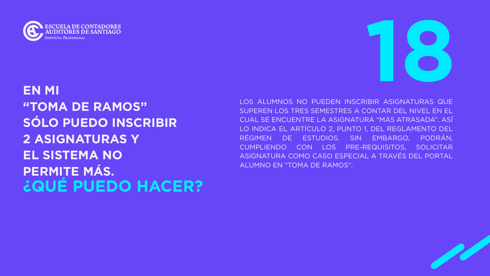

### **EN MI "TOMA DE RAMOS" SÓLO PUEDO INSCRIBIR 2 ASIGNATURAS Y EL SISTEMA NO PERMITE MÁS. ¿QUÉ PUEDO HACER?**

# **18**

LOS ALUMNOS NO PUEDEN INSCRIBIR ASIGNATURAS QUE SUPEREN LOS TRES SEMESTRES A CONTAR DEL NIVEL EN EL CUAL SE ENCUENTRE LA ASIGNATURA "MÁS ATRASADA". ASÍ LO INDICA EL ARTÍCULO 2, PUNTO 1, DEL REGLAMENTO DEL RÉGIMEN DE ESTUDIOS. SIN EMBARGO, PODRÁN, CUMPLIENDO CON LOS PRE-REQUISITOS, SOLICITAR ASIGNATURA COMO CASO ESPECIAL A TRAVÉS DEL PORTAL ALUMNO EN "TOMA DE RAMOS".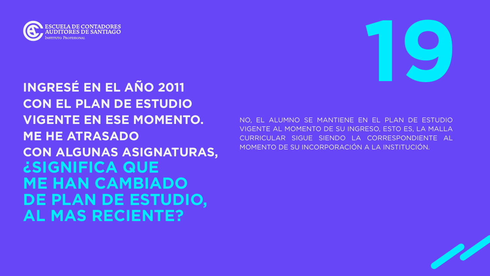



### **INGRESÉ EN EL AÑO 2011 CON EL PLAN DE ESTUDIO VIGENTE EN ESE MOMENTO. ME HE ATRASADO CON ALGUNAS ASIGNATURAS, ¿SIGNIFICA QUE ME HAN CAMBIADO DE PLAN DE ESTUDIO, AL MAS RECIENTE?**

NO, EL ALUMNO SE MANTIENE EN EL PLAN DE ESTUDIO VIGENTE AL MOMENTO DE SU INGRESO, ESTO ES, LA MALLA CURRICULAR SIGUE SIENDO LA CORRESPONDIENTE AL MOMENTO DE SU INCORPORACIÓN A LA INSTITUCIÓN.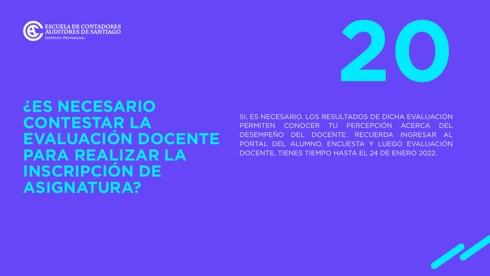



### **¿ES NECESARIO CONTESTAR LA EVALUACIÓN DOCENTE PARA REALIZAR LA INSCRIPCIÓN DE ASIGNATURA?**

SI, ES NECESARIO. LOS RESULTADOS DE DICHA EVALUACIÓN PERMITEN CONOCER TU PERCEPCIÓN ACERCA DEL DESEMPEÑO DEL DOCENTE. RECUERDA INGRESAR AL PORTAL DEL ALUMNO, ENCUESTA Y LUEGO EVALUACIÓN DOCENTE, TIENES TIEMPO HASTA EL 24 DE ENERO 2022.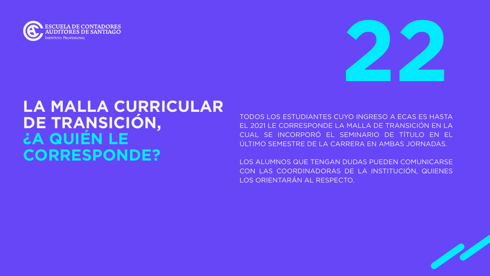



# **LA MALLA CURRICULAR DE TRANSICIÓN, ¿A QUIÉN LE CORRESPONDE?**

TODOS LOS ESTUDIANTES CUYO INGRESO A ECAS ES HASTA EL 2021 LE CORRESPONDE LA MALLA DE TRANSICIÓN EN LA CUAL SE INCORPORÓ EL SEMINARIO DE TÍTULO EN EL ÚLTIMO SEMESTRE DE LA CARRERA EN AMBAS JORNADAS.

LOS ALUMNOS QUE TENGAN DUDAS PUEDEN COMUNICARSE CON LAS COORDINADORAS DE LA INSTITUCIÓN, QUIENES LOS ORIENTARÁN AL RESPECTO.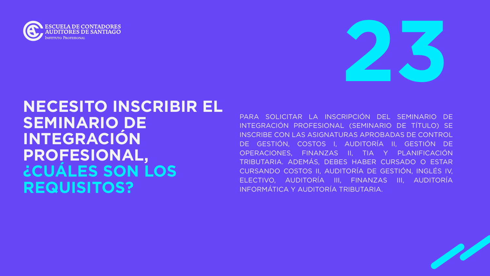



## **NECESITO INSCRIBIR EL SEMINARIO DE INTEGRACIÓN PROFESIONAL, ¿CUÁLES SON LOS REQUISITOS?**

PARA SOLICITAR LA INSCRIPCIÓN DEL SEMINARIO DE INTEGRACIÓN PROFESIONAL (SEMINARIO DE TÍTULO) SE INSCRIBE CON LAS ASIGNATURAS APROBADAS DE CONTROL DE GESTIÓN, COSTOS I, AUDITORÍA II, GESTIÓN DE OPERACIONES, FINANZAS II, TIA Y PLANIFICACIÓN TRIBUTARIA. ADEMÁS, DEBES HABER CURSADO O ESTAR CURSANDO COSTOS II, AUDITORÍA DE GESTIÓN, INGLÉS IV, ELECTIVO, AUDITORÍA III, FINANZAS III, AUDITORÍA INFORMÁTICA Y AUDITORÍA TRIBUTARIA.

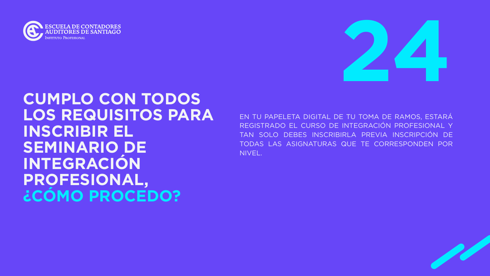



### **CUMPLO CON TODOS LOS REQUISITOS PARA INSCRIBIR EL SEMINARIO DE INTEGRACIÓN PROFESIONAL, ¿CÓMO PROCEDO?**

EN TU PAPELETA DIGITAL DE TU TOMA DE RAMOS, ESTARÁ REGISTRADO EL CURSO DE INTEGRACIÓN PROFESIONAL Y TAN SOLO DEBES INSCRIBIRLA PREVIA INSCRIPCIÓN DE TODAS LAS ASIGNATURAS QUE TE CORRESPONDEN POR NIVEL.

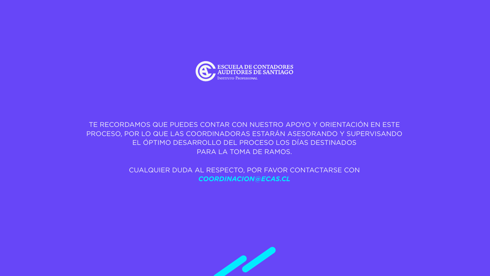TE RECORDAMOS QUE PUEDES CONTAR CON NUESTRO APOYO Y ORIENTACIÓN EN ESTE PROCESO, POR LO QUE LAS COORDINADORAS ESTARÁN ASESORANDO Y SUPERVISANDO EL ÓPTIMO DESARROLLO DEL PROCESO LOS DÍAS DESTINADOS PARA LA TOMA DE RAMOS.





CUALQUIER DUDA AL RESPECTO, POR FAVOR CONTACTARSE CON *COORDINACION@ECAS.CL*



**NSTITUTO PROFESIONAL**